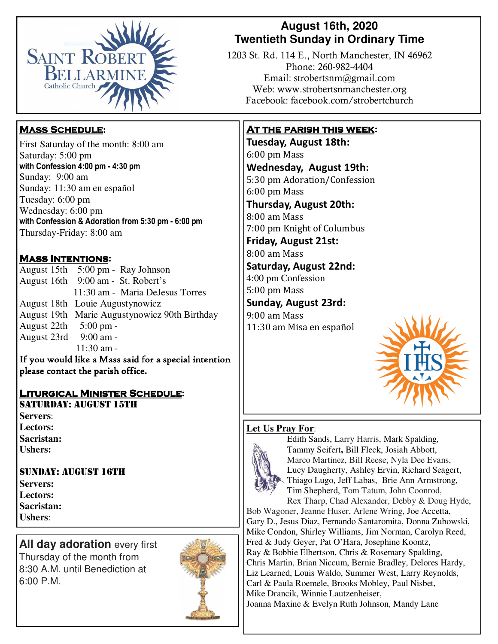

## **August 16th, 2020 Twentieth Sunday in Ordinary Time**

1203 St. Rd. 114 E., North Manchester, IN 46962 Phone: 260-982-4404 Email: strobertsnm@gmail.com Web: www.strobertsnmanchester.org Facebook: facebook.com/strobertchurch

### **At the parish this week:**

**Tuesday, August 18th:**  6:00 pm Mass **Wednesday, August 19th:** 5:30 pm Adoration/Confession 6:00 pm Mass 

**Thursday, August 20th:**  8:00 am Mass 7:00 pm Knight of Columbus

**Friday, August 21st:**  8:00 am Mass 

**Saturday, August 22nd:** 4:00 pm Confession 5:00 pm Mass

**Sunday, August 23rd:** 9:00 am Mass 11:30 am Misa en español 



### **Let Us Pray For**:



Edith Sands, Larry Harris, Mark Spalding, Tammy Seifert**,** Bill Fleck, Josiah Abbott, Marco Martinez, Bill Reese, Nyla Dee Evans, Lucy Daugherty, Ashley Ervin, Richard Seagert, Thiago Lugo, Jeff Labas, Brie Ann Armstrong, Tim Shepherd, Tom Tatum, John Coonrod, Rex Tharp, Chad Alexander, Debby & Doug Hyde,

Bob Wagoner, Jeanne Huser, Arlene Wring, Joe Accetta, Gary D., Jesus Diaz, Fernando Santaromita, Donna Zubowski, Mike Condon, Shirley Williams, Jim Norman, Carolyn Reed, Fred & Judy Geyer, Pat O'Hara, Josephine Koontz, Ray & Bobbie Elbertson, Chris & Rosemary Spalding, Chris Martin, Brian Niccum, Bernie Bradley, Delores Hardy, Liz Learned, Louis Waldo, Summer West, Larry Reynolds, Carl & Paula Roemele, Brooks Mobley, Paul Nisbet, Mike Drancik, Winnie Lautzenheiser, Joanna Maxine & Evelyn Ruth Johnson, Mandy Lane

## **Mass Schedule:**

First Saturday of the month: 8:00 am Saturday: 5:00 pm **with Confession 4:00 pm - 4:30 pm**  Sunday: 9:00 am Sunday: 11:30 am en español Tuesday: 6:00 pm Wednesday: 6:00 pm **with Confession & Adoration from 5:30 pm - 6:00 pm**  Thursday-Friday: 8:00 am

## **Mass Intentions:**

August 15th 5:00 pm - Ray Johnson August 16th 9:00 am - St. Robert's 11:30 am - Maria DeJesus Torres August 18th Louie Augustynowicz August 19th Marie Augustynowicz 90th Birthday August 22th 5:00 pm - August 23rd 9:00 am -  $11:30$  am -

If you would like a Mass said for a special intention please contact the parish office. 

#### **Liturgical Minister Schedule:**  SATURDAY: AUGUST 15TH

**Servers**: **Lectors: Sacristan: Ushers:**

### SUNDAY: AUGUST 16TH

**Servers: Lectors: Sacristan: Ushers**:

**All day adoration every first** Thursday of the month from 8:30 A.M. until Benediction at 6:00 P.M.